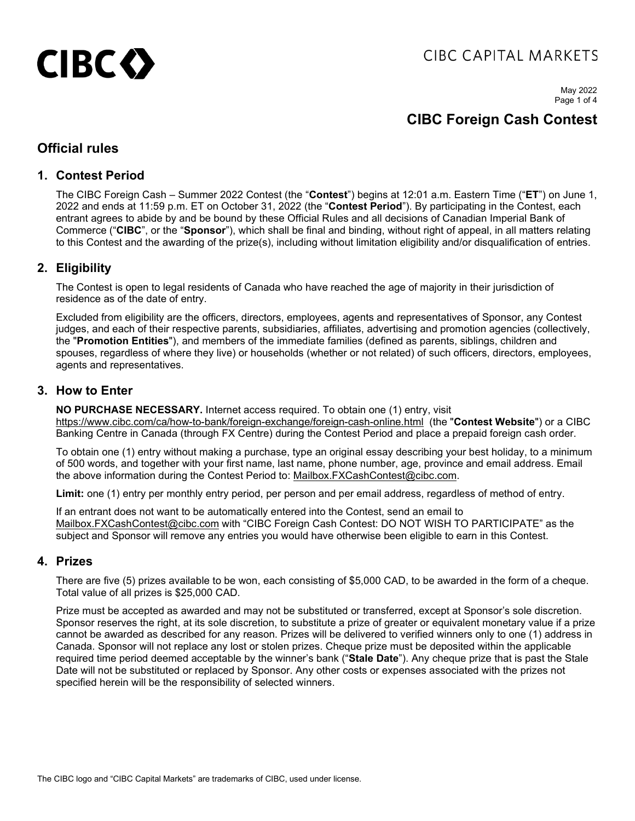# CIBC<sub>2</sub>

## CIBC CAPITAL MARKETS

May 2022 Page 1 of 4

## **CIBC Foreign Cash Contest**

### **Official rules**

#### **1. Contest Period**

The CIBC Foreign Cash – Summer 2022 Contest (the "**Contest**") begins at 12:01 a.m. Eastern Time ("**ET**") on June 1, 2022 and ends at 11:59 p.m. ET on October 31, 2022 (the "**Contest Period**"). By participating in the Contest, each entrant agrees to abide by and be bound by these Official Rules and all decisions of Canadian Imperial Bank of Commerce ("**CIBC**", or the "**Sponsor**"), which shall be final and binding, without right of appeal, in all matters relating to this Contest and the awarding of the prize(s), including without limitation eligibility and/or disqualification of entries.

#### **2. Eligibility**

The Contest is open to legal residents of Canada who have reached the age of majority in their jurisdiction of residence as of the date of entry.

Excluded from eligibility are the officers, directors, employees, agents and representatives of Sponsor, any Contest judges, and each of their respective parents, subsidiaries, affiliates, advertising and promotion agencies (collectively, the "**Promotion Entities**"), and members of the immediate families (defined as parents, siblings, children and spouses, regardless of where they live) or households (whether or not related) of such officers, directors, employees, agents and representatives.

#### **3. How to Enter**

**NO PURCHASE NECESSARY.** Internet access required. To obtain one (1) entry, visit <https://www.cibc.com/ca/how-to-bank/foreign-exchange/foreign-cash-online.html>(the "**Contest Website**") or a CIBC Banking Centre in Canada (through FX Centre) during the Contest Period and place a prepaid foreign cash order.

To obtain one (1) entry without making a purchase, type an original essay describing your best holiday, to a minimum of 500 words, and together with your first name, last name, phone number, age, province and email address. Email the above information during the Contest Period to: [Mailbox.FXCashContest@cibc.com.](mailto:Mailbox.FXCashContest@cibc.com)

**Limit:** one (1) entry per monthly entry period, per person and per email address, regardless of method of entry.

If an entrant does not want to be automatically entered into the Contest, send an email to [Mailbox.FXCashContest@cibc.com](mailto:Mailbox.FXCashContest@cibc.com) with "CIBC Foreign Cash Contest: DO NOT WISH TO PARTICIPATE" as the subject and Sponsor will remove any entries you would have otherwise been eligible to earn in this Contest.

#### **4. Prizes**

There are five (5) prizes available to be won, each consisting of \$5,000 CAD, to be awarded in the form of a cheque. Total value of all prizes is \$25,000 CAD.

Prize must be accepted as awarded and may not be substituted or transferred, except at Sponsor's sole discretion. Sponsor reserves the right, at its sole discretion, to substitute a prize of greater or equivalent monetary value if a prize cannot be awarded as described for any reason. Prizes will be delivered to verified winners only to one (1) address in Canada. Sponsor will not replace any lost or stolen prizes. Cheque prize must be deposited within the applicable required time period deemed acceptable by the winner's bank ("**Stale Date**"). Any cheque prize that is past the Stale Date will not be substituted or replaced by Sponsor. Any other costs or expenses associated with the prizes not specified herein will be the responsibility of selected winners.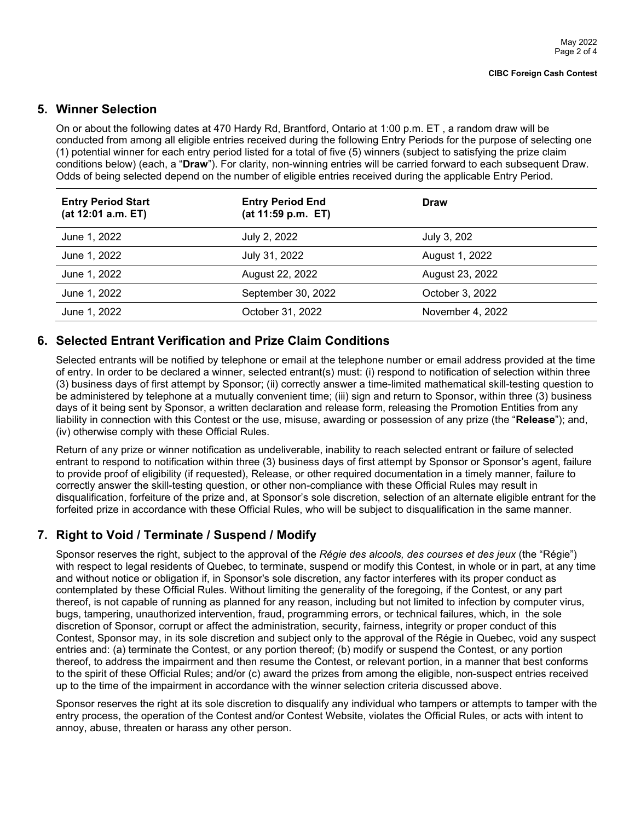#### **5. Winner Selection**

On or about the following dates at 470 Hardy Rd, Brantford, Ontario at 1:00 p.m. ET , a random draw will be conducted from among all eligible entries received during the following Entry Periods for the purpose of selecting one (1) potential winner for each entry period listed for a total of five (5) winners (subject to satisfying the prize claim conditions below) (each, a "**Draw**"). For clarity, non-winning entries will be carried forward to each subsequent Draw. Odds of being selected depend on the number of eligible entries received during the applicable Entry Period.

| <b>Entry Period Start</b><br>(at 12:01 a.m. ET) | <b>Entry Period End</b><br>(at 11:59 p.m. ET) | <b>Draw</b>      |
|-------------------------------------------------|-----------------------------------------------|------------------|
| June 1, 2022                                    | July 2, 2022                                  | July 3, 202      |
| June 1, 2022                                    | July 31, 2022                                 | August 1, 2022   |
| June 1, 2022                                    | August 22, 2022                               | August 23, 2022  |
| June 1, 2022                                    | September 30, 2022                            | October 3, 2022  |
| June 1, 2022                                    | October 31, 2022                              | November 4, 2022 |

#### **6. Selected Entrant Verification and Prize Claim Conditions**

Selected entrants will be notified by telephone or email at the telephone number or email address provided at the time of entry. In order to be declared a winner, selected entrant(s) must: (i) respond to notification of selection within three (3) business days of first attempt by Sponsor; (ii) correctly answer a time-limited mathematical skill-testing question to be administered by telephone at a mutually convenient time; (iii) sign and return to Sponsor, within three (3) business days of it being sent by Sponsor, a written declaration and release form, releasing the Promotion Entities from any liability in connection with this Contest or the use, misuse, awarding or possession of any prize (the "**Release**"); and, (iv) otherwise comply with these Official Rules.

Return of any prize or winner notification as undeliverable, inability to reach selected entrant or failure of selected entrant to respond to notification within three (3) business days of first attempt by Sponsor or Sponsor's agent, failure to provide proof of eligibility (if requested), Release, or other required documentation in a timely manner, failure to correctly answer the skill-testing question, or other non-compliance with these Official Rules may result in disqualification, forfeiture of the prize and, at Sponsor's sole discretion, selection of an alternate eligible entrant for the forfeited prize in accordance with these Official Rules, who will be subject to disqualification in the same manner.

#### **7. Right to Void / Terminate / Suspend / Modify**

Sponsor reserves the right, subject to the approval of the *Régie des alcools, des courses et des jeux* (the "Régie") with respect to legal residents of Quebec, to terminate, suspend or modify this Contest, in whole or in part, at any time and without notice or obligation if, in Sponsor's sole discretion, any factor interferes with its proper conduct as contemplated by these Official Rules. Without limiting the generality of the foregoing, if the Contest, or any part thereof, is not capable of running as planned for any reason, including but not limited to infection by computer virus, bugs, tampering, unauthorized intervention, fraud, programming errors, or technical failures, which, in the sole discretion of Sponsor, corrupt or affect the administration, security, fairness, integrity or proper conduct of this Contest, Sponsor may, in its sole discretion and subject only to the approval of the Régie in Quebec, void any suspect entries and: (a) terminate the Contest, or any portion thereof; (b) modify or suspend the Contest, or any portion thereof, to address the impairment and then resume the Contest, or relevant portion, in a manner that best conforms to the spirit of these Official Rules; and/or (c) award the prizes from among the eligible, non-suspect entries received up to the time of the impairment in accordance with the winner selection criteria discussed above.

Sponsor reserves the right at its sole discretion to disqualify any individual who tampers or attempts to tamper with the entry process, the operation of the Contest and/or Contest Website, violates the Official Rules, or acts with intent to annoy, abuse, threaten or harass any other person.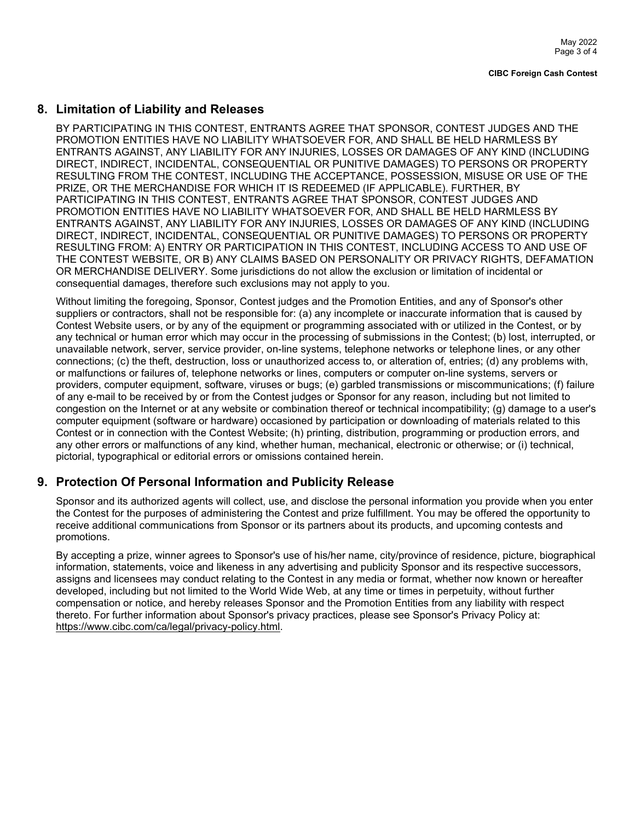#### **8. Limitation of Liability and Releases**

BY PARTICIPATING IN THIS CONTEST, ENTRANTS AGREE THAT SPONSOR, CONTEST JUDGES AND THE PROMOTION ENTITIES HAVE NO LIABILITY WHATSOEVER FOR, AND SHALL BE HELD HARMLESS BY ENTRANTS AGAINST, ANY LIABILITY FOR ANY INJURIES, LOSSES OR DAMAGES OF ANY KIND (INCLUDING DIRECT, INDIRECT, INCIDENTAL, CONSEQUENTIAL OR PUNITIVE DAMAGES) TO PERSONS OR PROPERTY RESULTING FROM THE CONTEST, INCLUDING THE ACCEPTANCE, POSSESSION, MISUSE OR USE OF THE PRIZE, OR THE MERCHANDISE FOR WHICH IT IS REDEEMED (IF APPLICABLE). FURTHER, BY PARTICIPATING IN THIS CONTEST, ENTRANTS AGREE THAT SPONSOR, CONTEST JUDGES AND PROMOTION ENTITIES HAVE NO LIABILITY WHATSOEVER FOR, AND SHALL BE HELD HARMLESS BY ENTRANTS AGAINST, ANY LIABILITY FOR ANY INJURIES, LOSSES OR DAMAGES OF ANY KIND (INCLUDING DIRECT, INDIRECT, INCIDENTAL, CONSEQUENTIAL OR PUNITIVE DAMAGES) TO PERSONS OR PROPERTY RESULTING FROM: A) ENTRY OR PARTICIPATION IN THIS CONTEST, INCLUDING ACCESS TO AND USE OF THE CONTEST WEBSITE, OR B) ANY CLAIMS BASED ON PERSONALITY OR PRIVACY RIGHTS, DEFAMATION OR MERCHANDISE DELIVERY. Some jurisdictions do not allow the exclusion or limitation of incidental or consequential damages, therefore such exclusions may not apply to you.

Without limiting the foregoing, Sponsor, Contest judges and the Promotion Entities, and any of Sponsor's other suppliers or contractors, shall not be responsible for: (a) any incomplete or inaccurate information that is caused by Contest Website users, or by any of the equipment or programming associated with or utilized in the Contest, or by any technical or human error which may occur in the processing of submissions in the Contest; (b) lost, interrupted, or unavailable network, server, service provider, on-line systems, telephone networks or telephone lines, or any other connections; (c) the theft, destruction, loss or unauthorized access to, or alteration of, entries; (d) any problems with, or malfunctions or failures of, telephone networks or lines, computers or computer on-line systems, servers or providers, computer equipment, software, viruses or bugs; (e) garbled transmissions or miscommunications; (f) failure of any e-mail to be received by or from the Contest judges or Sponsor for any reason, including but not limited to congestion on the Internet or at any website or combination thereof or technical incompatibility; (g) damage to a user's computer equipment (software or hardware) occasioned by participation or downloading of materials related to this Contest or in connection with the Contest Website; (h) printing, distribution, programming or production errors, and any other errors or malfunctions of any kind, whether human, mechanical, electronic or otherwise; or (i) technical, pictorial, typographical or editorial errors or omissions contained herein.

#### **9. Protection Of Personal Information and Publicity Release**

Sponsor and its authorized agents will collect, use, and disclose the personal information you provide when you enter the Contest for the purposes of administering the Contest and prize fulfillment. You may be offered the opportunity to receive additional communications from Sponsor or its partners about its products, and upcoming contests and promotions.

By accepting a prize, winner agrees to Sponsor's use of his/her name, city/province of residence, picture, biographical information, statements, voice and likeness in any advertising and publicity Sponsor and its respective successors, assigns and licensees may conduct relating to the Contest in any media or format, whether now known or hereafter developed, including but not limited to the World Wide Web, at any time or times in perpetuity, without further compensation or notice, and hereby releases Sponsor and the Promotion Entities from any liability with respect thereto. For further information about Sponsor's privacy practices, please see Sponsor's Privacy Policy at: [https://www.cibc.com/ca/legal/privacy-policy.html.](https://www.cibc.com/ca/legal/privacy-policy.html)